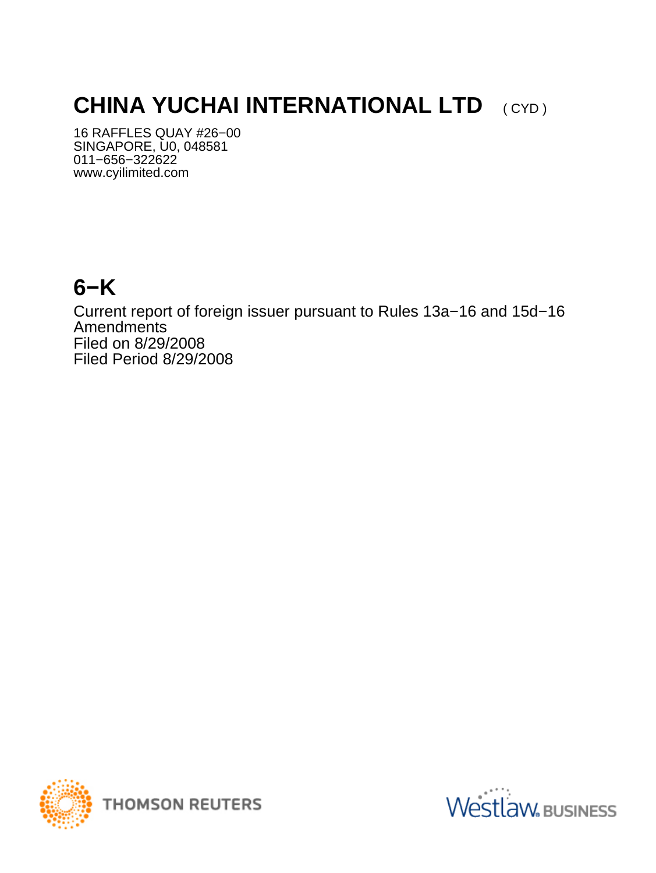# **CHINA YUCHAI INTERNATIONAL LTD** (CYD)

16 RAFFLES QUAY #26−00 SINGAPORE, U0, 048581 011−656−322622 www.cyilimited.com

## **6−K**

Current report of foreign issuer pursuant to Rules 13a−16 and 15d−16 Amendments Filed on 8/29/2008 Filed Period 8/29/2008



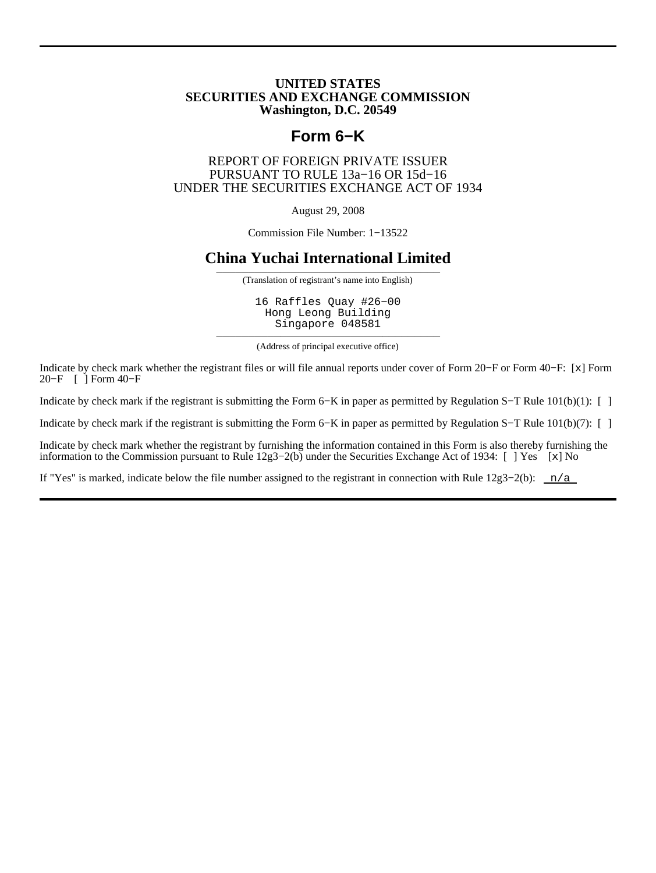#### **UNITED STATES SECURITIES AND EXCHANGE COMMISSION Washington, D.C. 20549**

## **Form 6−K**

#### REPORT OF FOREIGN PRIVATE ISSUER PURSUANT TO RULE 13a−16 OR 15d−16 UNDER THE SECURITIES EXCHANGE ACT OF 1934

August 29, 2008

Commission File Number: 1−13522

### **China Yuchai International Limited**

——————————————————————————————————— (Translation of registrant's name into English)

16 Raffles Quay #26−00 Hong Leong Building Singapore 048581

——————————————————————————————————— (Address of principal executive office)

Indicate by check mark whether the registrant files or will file annual reports under cover of Form 20−F or Form 40−F: [x] Form 20−F [ ] Form 40−F

Indicate by check mark if the registrant is submitting the Form 6−K in paper as permitted by Regulation S−T Rule 101(b)(1): [ ]

Indicate by check mark if the registrant is submitting the Form 6−K in paper as permitted by Regulation S−T Rule 101(b)(7): [ ]

Indicate by check mark whether the registrant by furnishing the information contained in this Form is also thereby furnishing the information to the Commission pursuant to Rule 12g3−2(b) under the Securities Exchange Act of 1934: [ ] Yes [x] No

If "Yes" is marked, indicate below the file number assigned to the registrant in connection with Rule  $12g3-2(b)$ : n/a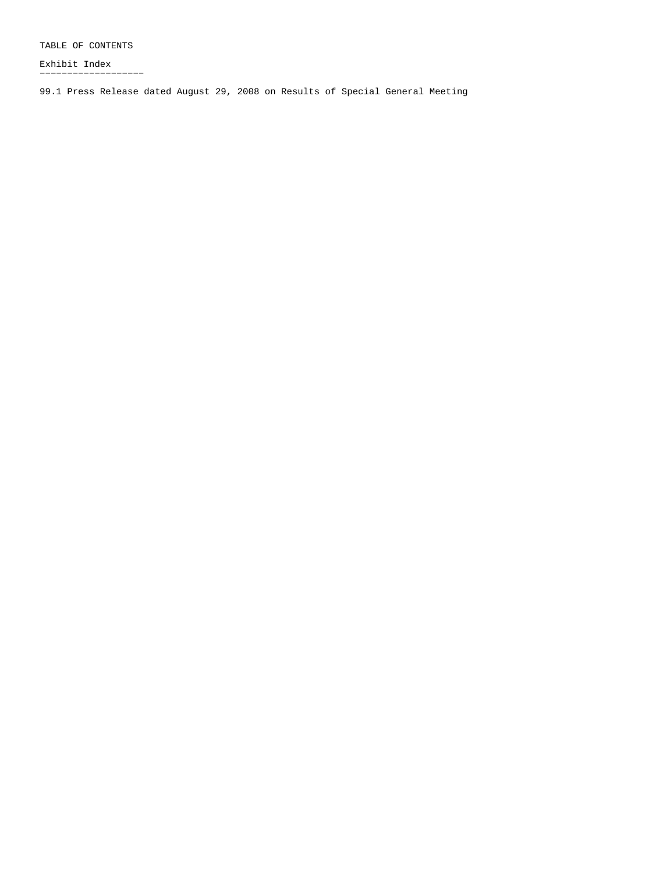TABLE OF CONTENTS

Exhibit Index −−−−−−−−−−−−−−−−−−−

99.1 Press Release dated August 29, 2008 on Results of Special General Meeting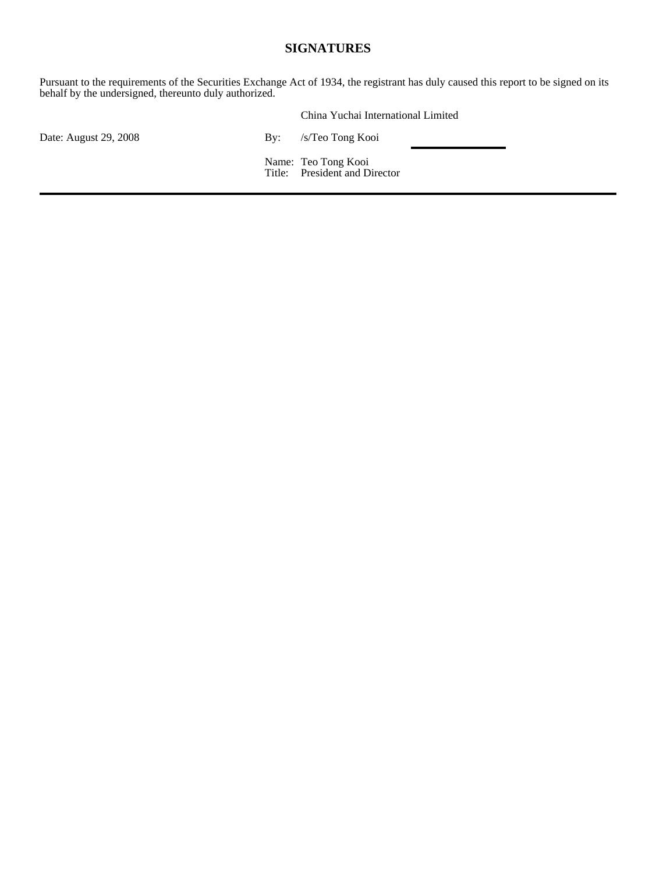### **SIGNATURES**

Pursuant to the requirements of the Securities Exchange Act of 1934, the registrant has duly caused this report to be signed on its behalf by the undersigned, thereunto duly authorized.

|                       | China Yuchai International Limited                   |  |
|-----------------------|------------------------------------------------------|--|
| Date: August 29, 2008 | By: /s/Teo Tong Kooi                                 |  |
|                       | Name: Teo Tong Kooi<br>Title: President and Director |  |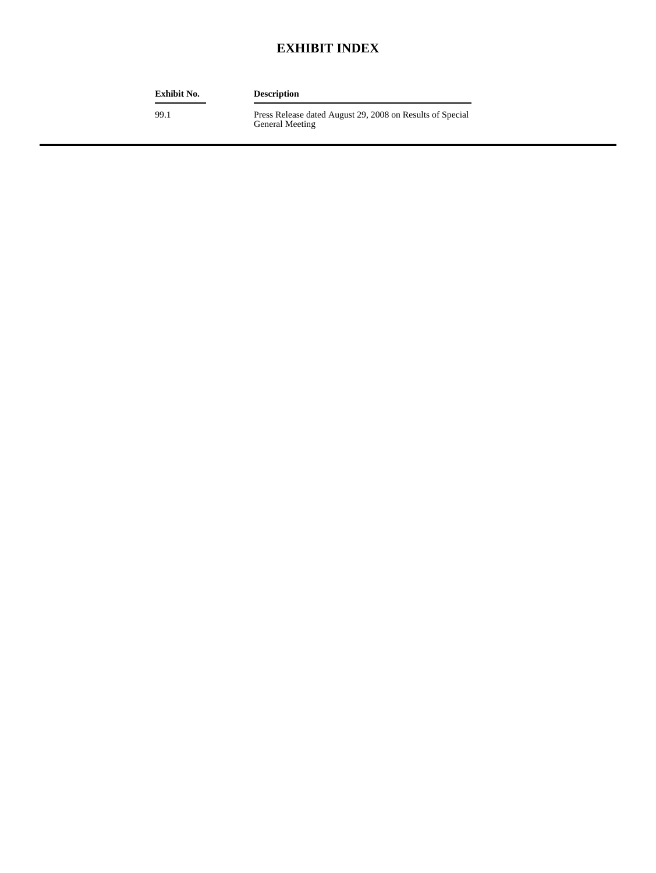## **EXHIBIT INDEX**